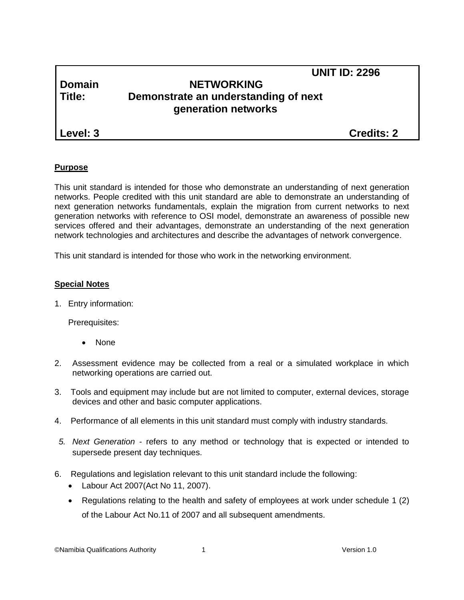# **Domain NETWORKING Title: Demonstrate an understanding of next generation networks**

**Level: 3 Credits: 2**

 **UNIT ID: 2296**

# **Purpose**

This unit standard is intended for those who demonstrate an understanding of next generation networks. People credited with this unit standard are able to demonstrate an understanding of next generation networks fundamentals, explain the migration from current networks to next generation networks with reference to OSI model, demonstrate an awareness of possible new services offered and their advantages, demonstrate an understanding of the next generation network technologies and architectures and describe the advantages of network convergence.

This unit standard is intended for those who work in the networking environment.

# **Special Notes**

1. Entry information:

Prerequisites:

- None
- 2. Assessment evidence may be collected from a real or a simulated workplace in which networking operations are carried out.
- 3. Tools and equipment may include but are not limited to computer, external devices, storage devices and other and basic computer applications.
- 4. Performance of all elements in this unit standard must comply with industry standards.
- *5. Next Generation -* refers to any method or technology that is expected or intended to supersede present day techniques.
- 6. Regulations and legislation relevant to this unit standard include the following:
	- Labour Act 2007(Act No 11, 2007).
	- Regulations relating to the health and safety of employees at work under schedule 1 (2) of the Labour Act No.11 of 2007 and all subsequent amendments.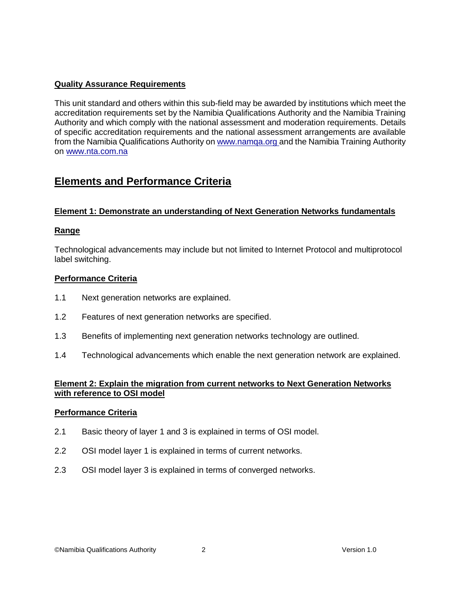# **Quality Assurance Requirements**

This unit standard and others within this sub-field may be awarded by institutions which meet the accreditation requirements set by the Namibia Qualifications Authority and the Namibia Training Authority and which comply with the national assessment and moderation requirements. Details of specific accreditation requirements and the national assessment arrangements are available from the Namibia Qualifications Authority o[n www.namqa.org a](http://www.namqa.org/)nd the Namibia Training Authority on [www.nta.com.na](http://www.nta.com.na/)

# **Elements and Performance Criteria**

## **Element 1: Demonstrate an understanding of Next Generation Networks fundamentals**

## **Range**

Technological advancements may include but not limited to Internet Protocol and multiprotocol label switching.

#### **Performance Criteria**

- 1.1 Next generation networks are explained.
- 1.2 Features of next generation networks are specified.
- 1.3 Benefits of implementing next generation networks technology are outlined.
- 1.4 Technological advancements which enable the next generation network are explained.

## **Element 2: Explain the migration from current networks to Next Generation Networks with reference to OSI model**

#### **Performance Criteria**

- 2.1 Basic theory of layer 1 and 3 is explained in terms of OSI model.
- 2.2 OSI model layer 1 is explained in terms of current networks.
- 2.3 OSI model layer 3 is explained in terms of converged networks.